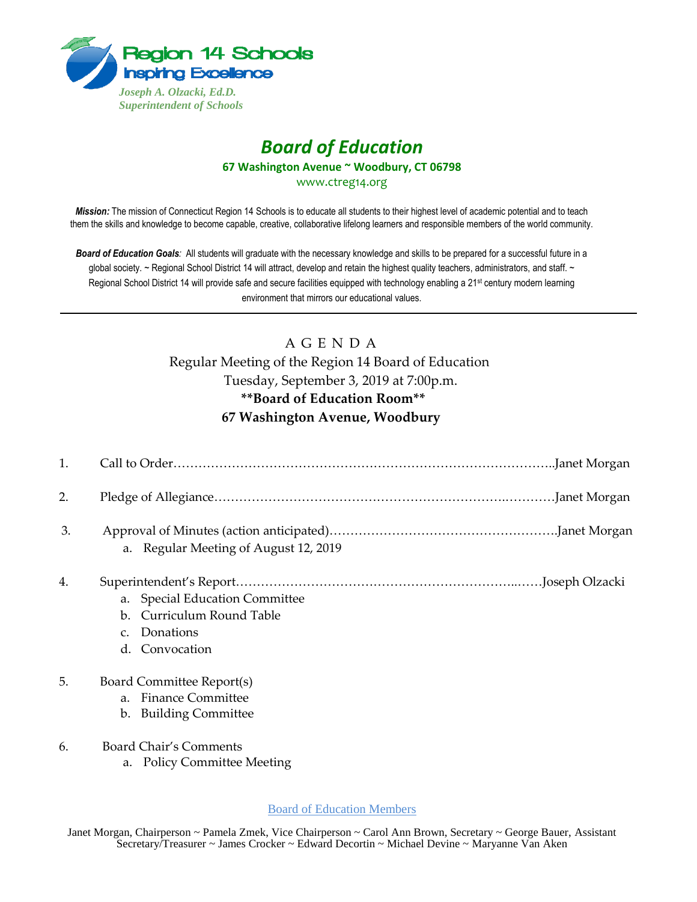

## *Board of Education* **67 Washington Avenue ~ Woodbury, CT 06798**

www.ctreg14.org

*Mission:* The mission of Connecticut Region 14 Schools is to educate all students to their highest level of academic potential and to teach them the skills and knowledge to become capable, creative, collaborative lifelong learners and responsible members of the world community.

*Board of Education Goals:* All students will graduate with the necessary knowledge and skills to be prepared for a successful future in a global society. ~ Regional School District 14 will attract, develop and retain the highest quality teachers, administrators, and staff. ~ Regional School District 14 will provide safe and secure facilities equipped with technology enabling a 21<sup>st</sup> century modern learning environment that mirrors our educational values.

## A G E N D A

## Regular Meeting of the Region 14 Board of Education Tuesday, September 3, 2019 at 7:00p.m. **\*\*Board of Education Room\*\* 67 Washington Avenue, Woodbury**

| 1. |                                                                                                                 |
|----|-----------------------------------------------------------------------------------------------------------------|
| 2. |                                                                                                                 |
| 3. | a. Regular Meeting of August 12, 2019                                                                           |
| 4. | a. Special Education Committee<br>Curriculum Round Table<br>$\mathbf{b}$ .<br>c. Donations<br>Convocation<br>d. |
| 5. | Board Committee Report(s)<br>a. Finance Committee                                                               |

- b. Building Committee
- 6. Board Chair's Comments
	- a. Policy Committee Meeting

Board of Education Members

Janet Morgan, Chairperson ~ Pamela Zmek, Vice Chairperson ~ Carol Ann Brown, Secretary ~ George Bauer, Assistant Secretary/Treasurer ~ James Crocker ~ Edward Decortin ~ Michael Devine ~ Maryanne Van Aken